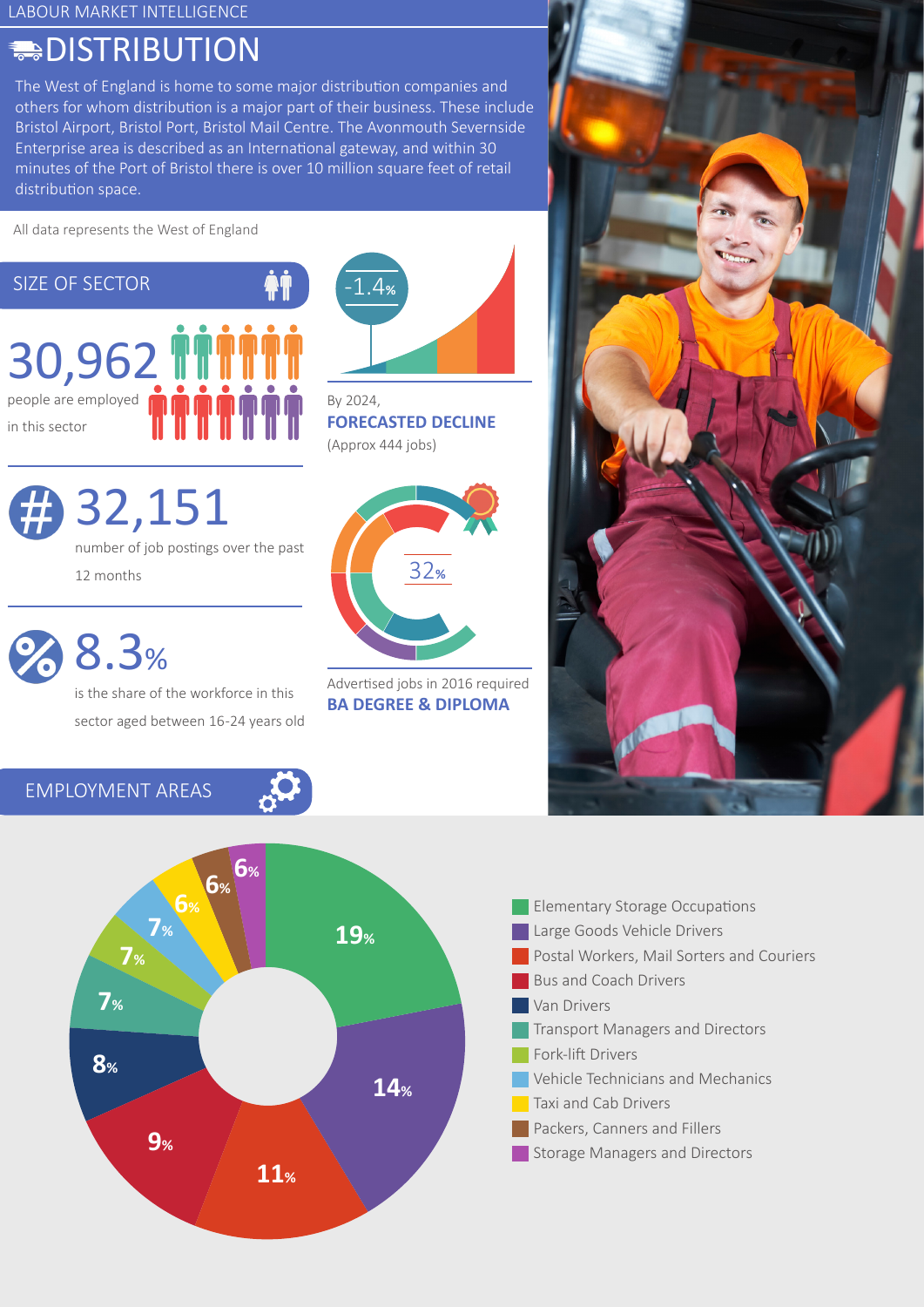# **DISTRIBUTION**

The West of England is home to some major distribution companies and others for whom distribution is a major part of their business. These include Bristol Airport, Bristol Port, Bristol Mail Centre. The Avonmouth Severnside Enterprise area is described as an International gateway, and within 30 minutes of the Port of Bristol there is over 10 million square feet of retail distribution space.

All data represents the West of England





number of job postings over the past 12 months

8.3%

is the share of the workforce in this sector aged between 16-24 years old



By 2024, **FORECASTED DECLINE** (Approx 444 jobs)



Advertised jobs in 2016 required **BA DEGREE & DIPLOMA**



EMPLOYMENT AREAS



| <b>Elementary Storage Occupations</b>     |
|-------------------------------------------|
| Large Goods Vehicle Drivers               |
| Postal Workers, Mail Sorters and Couriers |
| <b>Bus and Coach Drivers</b>              |
| Van Drivers                               |
| <b>Transport Managers and Directors</b>   |
| Fork-lift Drivers                         |
| Vehicle Technicians and Mechanics         |
| Taxi and Cab Drivers                      |
| Packers, Canners and Fillers              |
| <b>Storage Managers and Directors</b>     |